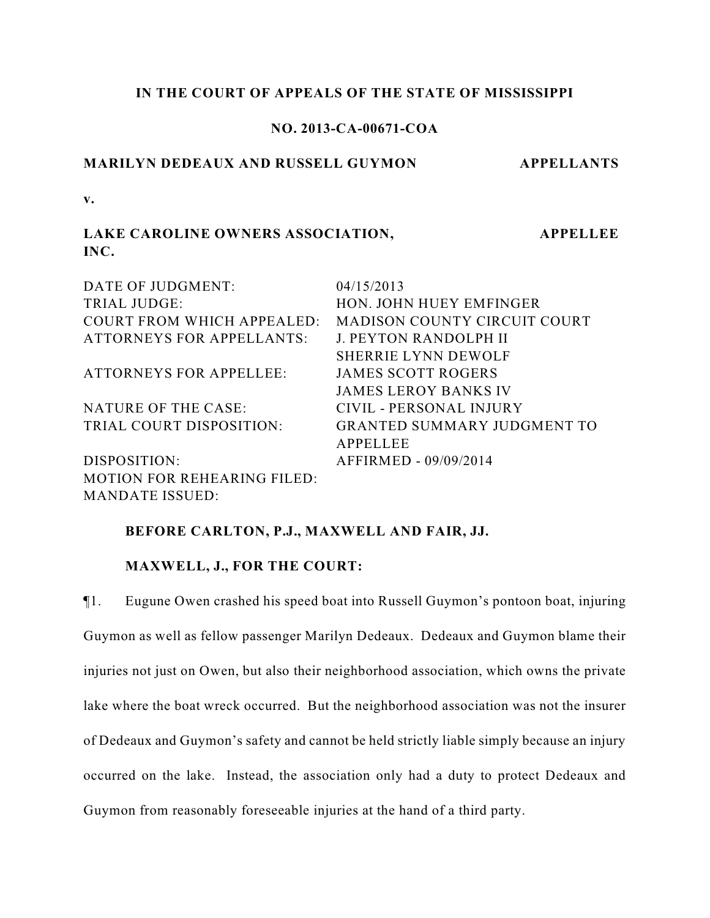# **IN THE COURT OF APPEALS OF THE STATE OF MISSISSIPPI**

# **NO. 2013-CA-00671-COA**

## **MARILYN DEDEAUX AND RUSSELL GUYMON APPELLANTS**

**APPELLEE**

**v.**

# **LAKE CAROLINE OWNERS ASSOCIATION, INC.**

| DATE OF JUDGMENT:                  | 04/15/2013                          |
|------------------------------------|-------------------------------------|
| <b>TRIAL JUDGE:</b>                | HON. JOHN HUEY EMFINGER             |
| <b>COURT FROM WHICH APPEALED:</b>  | <b>MADISON COUNTY CIRCUIT COURT</b> |
| <b>ATTORNEYS FOR APPELLANTS:</b>   | <b>J. PEYTON RANDOLPH II</b>        |
|                                    | <b>SHERRIE LYNN DEWOLF</b>          |
| <b>ATTORNEYS FOR APPELLEE:</b>     | <b>JAMES SCOTT ROGERS</b>           |
|                                    | <b>JAMES LEROY BANKS IV</b>         |
| NATURE OF THE CASE:                | CIVIL - PERSONAL INJURY             |
| TRIAL COURT DISPOSITION:           | <b>GRANTED SUMMARY JUDGMENT TO</b>  |
|                                    | APPELLEE                            |
| DISPOSITION:                       | AFFIRMED - 09/09/2014               |
| <b>MOTION FOR REHEARING FILED:</b> |                                     |
| <b>MANDATE ISSUED:</b>             |                                     |

## **BEFORE CARLTON, P.J., MAXWELL AND FAIR, JJ.**

## **MAXWELL, J., FOR THE COURT:**

¶1. Eugune Owen crashed his speed boat into Russell Guymon's pontoon boat, injuring Guymon as well as fellow passenger Marilyn Dedeaux. Dedeaux and Guymon blame their injuries not just on Owen, but also their neighborhood association, which owns the private lake where the boat wreck occurred. But the neighborhood association was not the insurer of Dedeaux and Guymon's safety and cannot be held strictly liable simply because an injury occurred on the lake. Instead, the association only had a duty to protect Dedeaux and Guymon from reasonably foreseeable injuries at the hand of a third party.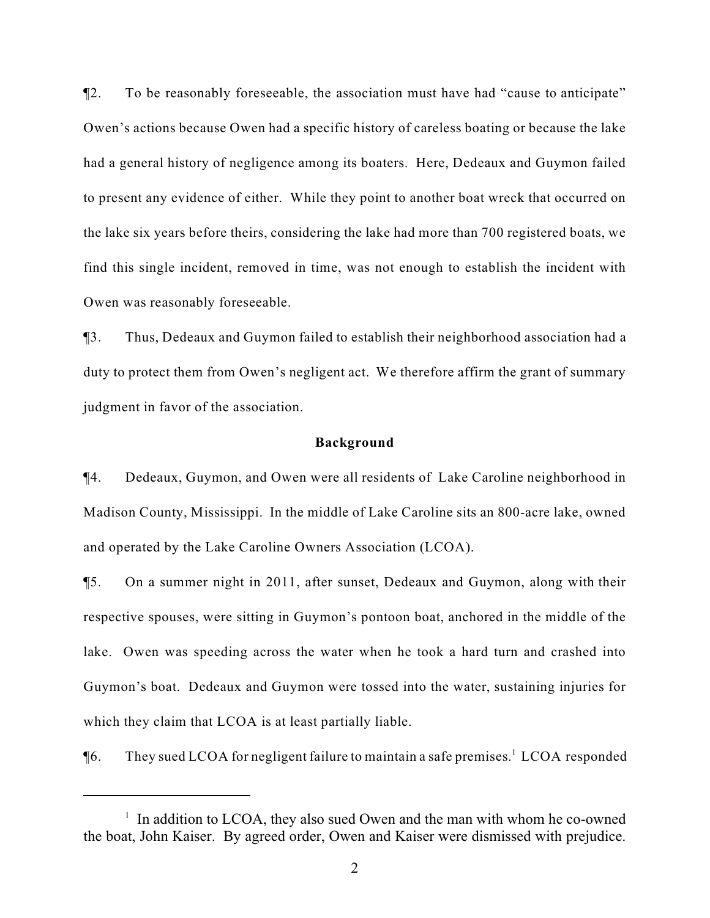¶2. To be reasonably foreseeable, the association must have had "cause to anticipate" Owen's actions because Owen had a specific history of careless boating or because the lake had a general history of negligence among its boaters. Here, Dedeaux and Guymon failed to present any evidence of either. While they point to another boat wreck that occurred on the lake six years before theirs, considering the lake had more than 700 registered boats, we find this single incident, removed in time, was not enough to establish the incident with Owen was reasonably foreseeable.

¶3. Thus, Dedeaux and Guymon failed to establish their neighborhood association had a duty to protect them from Owen's negligent act. We therefore affirm the grant of summary judgment in favor of the association.

#### **Background**

¶4. Dedeaux, Guymon, and Owen were all residents of Lake Caroline neighborhood in Madison County, Mississippi. In the middle of Lake Caroline sits an 800-acre lake, owned and operated by the Lake Caroline Owners Association (LCOA).

¶5. On a summer night in 2011, after sunset, Dedeaux and Guymon, along with their respective spouses, were sitting in Guymon's pontoon boat, anchored in the middle of the lake. Owen was speeding across the water when he took a hard turn and crashed into Guymon's boat. Dedeaux and Guymon were tossed into the water, sustaining injuries for which they claim that LCOA is at least partially liable.

 $\P6.$  They sued LCOA for negligent failure to maintain a safe premises.<sup>1</sup> LCOA responded

 $\frac{1}{1}$  In addition to LCOA, they also sued Owen and the man with whom he co-owned the boat, John Kaiser. By agreed order, Owen and Kaiser were dismissed with prejudice.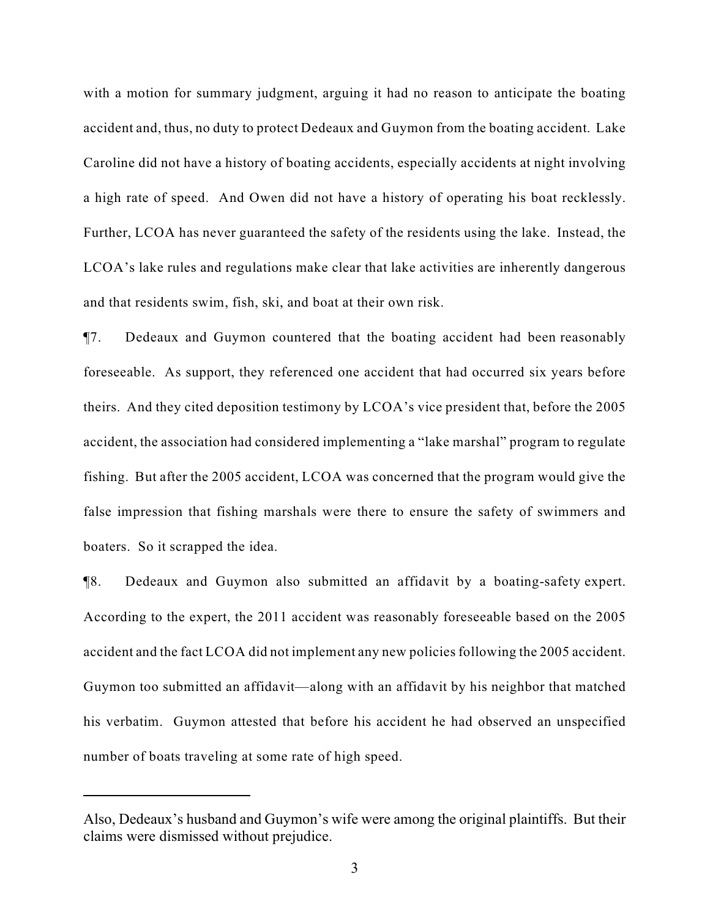with a motion for summary judgment, arguing it had no reason to anticipate the boating accident and, thus, no duty to protect Dedeaux and Guymon from the boating accident. Lake Caroline did not have a history of boating accidents, especially accidents at night involving a high rate of speed. And Owen did not have a history of operating his boat recklessly. Further, LCOA has never guaranteed the safety of the residents using the lake. Instead, the LCOA's lake rules and regulations make clear that lake activities are inherently dangerous and that residents swim, fish, ski, and boat at their own risk.

¶7. Dedeaux and Guymon countered that the boating accident had been reasonably foreseeable. As support, they referenced one accident that had occurred six years before theirs. And they cited deposition testimony by LCOA's vice president that, before the 2005 accident, the association had considered implementing a "lake marshal" program to regulate fishing. But after the 2005 accident, LCOA was concerned that the program would give the false impression that fishing marshals were there to ensure the safety of swimmers and boaters. So it scrapped the idea.

¶8. Dedeaux and Guymon also submitted an affidavit by a boating-safety expert. According to the expert, the 2011 accident was reasonably foreseeable based on the 2005 accident and the fact LCOA did not implement any new policies following the 2005 accident. Guymon too submitted an affidavit—along with an affidavit by his neighbor that matched his verbatim. Guymon attested that before his accident he had observed an unspecified number of boats traveling at some rate of high speed.

Also, Dedeaux's husband and Guymon's wife were among the original plaintiffs. But their claims were dismissed without prejudice.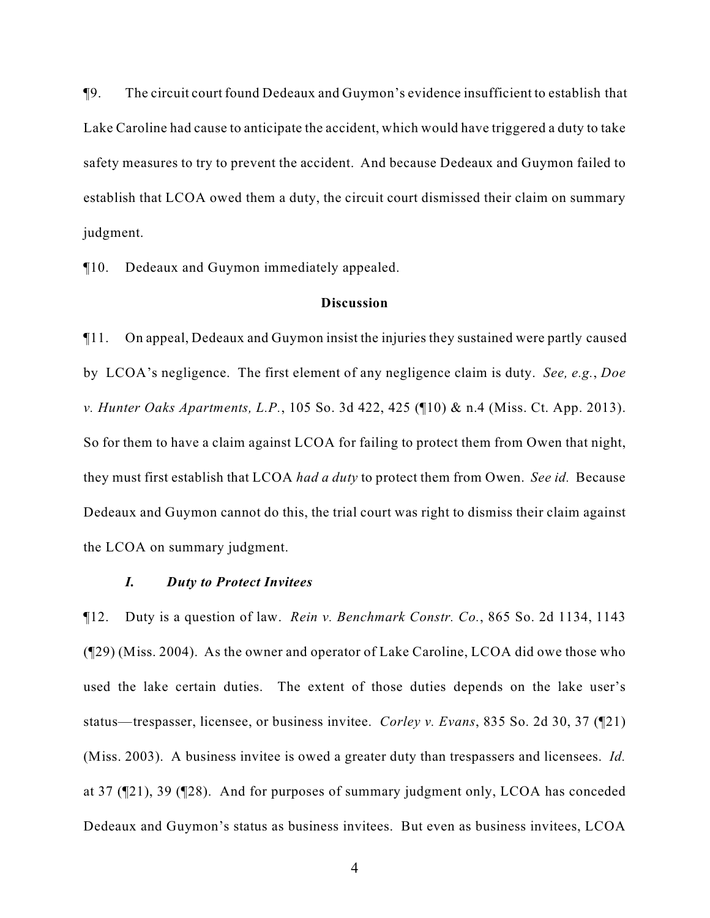¶9. The circuit court found Dedeaux and Guymon's evidence insufficient to establish that Lake Caroline had cause to anticipate the accident, which would have triggered a duty to take safety measures to try to prevent the accident. And because Dedeaux and Guymon failed to establish that LCOA owed them a duty, the circuit court dismissed their claim on summary judgment.

¶10. Dedeaux and Guymon immediately appealed.

## **Discussion**

¶11. On appeal, Dedeaux and Guymon insist the injuries they sustained were partly caused by LCOA's negligence. The first element of any negligence claim is duty. *See, e.g.*, *Doe v. Hunter Oaks Apartments, L.P.*, 105 So. 3d 422, 425 (¶10) & n.4 (Miss. Ct. App. 2013). So for them to have a claim against LCOA for failing to protect them from Owen that night, they must first establish that LCOA *had a duty* to protect them from Owen. *See id.* Because Dedeaux and Guymon cannot do this, the trial court was right to dismiss their claim against the LCOA on summary judgment.

#### *I. Duty to Protect Invitees*

¶12. Duty is a question of law. *Rein v. Benchmark Constr. Co.*, 865 So. 2d 1134, 1143 (¶29) (Miss. 2004). As the owner and operator of Lake Caroline, LCOA did owe those who used the lake certain duties. The extent of those duties depends on the lake user's status—trespasser, licensee, or business invitee. *Corley v. Evans*, 835 So. 2d 30, 37 (¶21) (Miss. 2003). A business invitee is owed a greater duty than trespassers and licensees. *Id.* at 37 (¶21), 39 (¶28). And for purposes of summary judgment only, LCOA has conceded Dedeaux and Guymon's status as business invitees. But even as business invitees, LCOA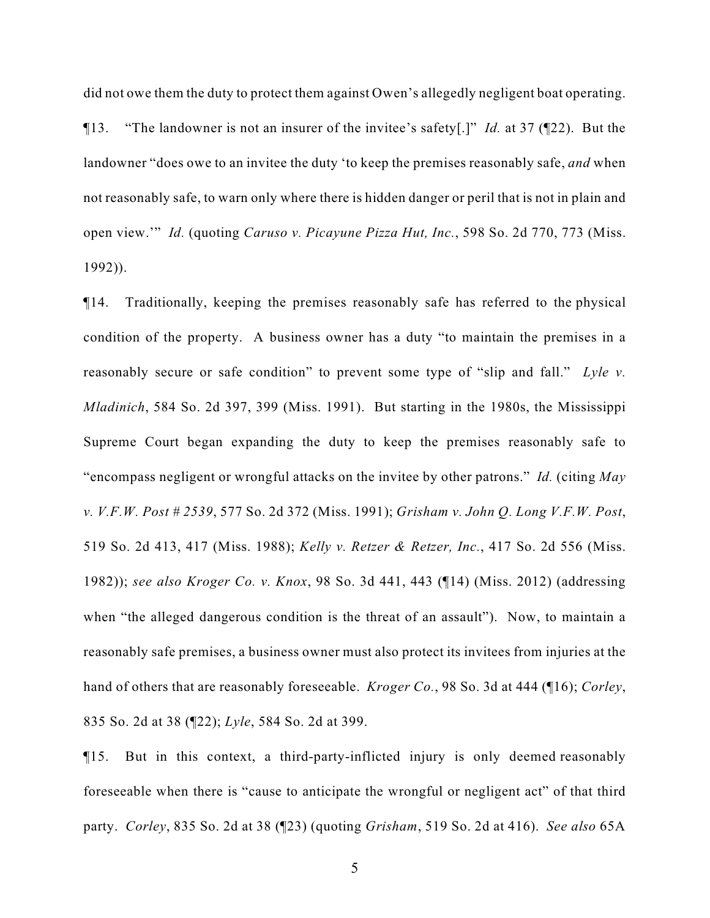did not owe them the duty to protect them against Owen's allegedly negligent boat operating.

¶13. "The landowner is not an insurer of the invitee's safety[.]" *Id.* at 37 (¶22). But the landowner "does owe to an invitee the duty 'to keep the premises reasonably safe, *and* when not reasonably safe, to warn only where there is hidden danger or peril that is not in plain and open view.'" *Id.* (quoting *Caruso v. Picayune Pizza Hut, Inc.*, 598 So. 2d 770, 773 (Miss. 1992)).

¶14. Traditionally, keeping the premises reasonably safe has referred to the physical condition of the property. A business owner has a duty "to maintain the premises in a reasonably secure or safe condition" to prevent some type of "slip and fall." *Lyle v. Mladinich*, 584 So. 2d 397, 399 (Miss. 1991). But starting in the 1980s, the Mississippi Supreme Court began expanding the duty to keep the premises reasonably safe to "encompass negligent or wrongful attacks on the invitee by other patrons." *Id.* (citing *May v. V.F.W. Post # 2539*, 577 So. 2d 372 (Miss. 1991); *Grisham v. John Q. Long V.F.W. Post*, 519 So. 2d 413, 417 (Miss. 1988); *Kelly v. Retzer & Retzer, Inc.*, 417 So. 2d 556 (Miss. 1982)); *see also Kroger Co. v. Knox*, 98 So. 3d 441, 443 (¶14) (Miss. 2012) (addressing when "the alleged dangerous condition is the threat of an assault"). Now, to maintain a reasonably safe premises, a business owner must also protect its invitees from injuries at the hand of others that are reasonably foreseeable. *Kroger Co.*, 98 So. 3d at 444 (¶16); *Corley*, 835 So. 2d at 38 (¶22); *Lyle*, 584 So. 2d at 399.

¶15. But in this context, a third-party-inflicted injury is only deemed reasonably foreseeable when there is "cause to anticipate the wrongful or negligent act" of that third party. *Corley*, 835 So. 2d at 38 (¶23) (quoting *Grisham*, 519 So. 2d at 416). *See also* 65A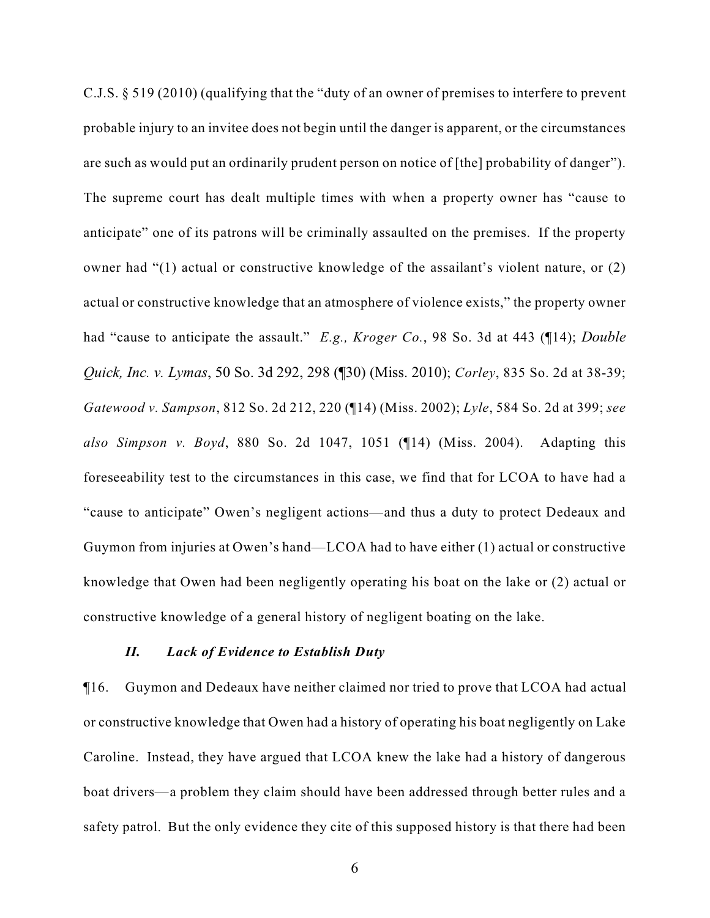C.J.S. § 519 (2010) (qualifying that the "duty of an owner of premises to interfere to prevent probable injury to an invitee does not begin until the danger is apparent, or the circumstances are such as would put an ordinarily prudent person on notice of [the] probability of danger"). The supreme court has dealt multiple times with when a property owner has "cause to anticipate" one of its patrons will be criminally assaulted on the premises. If the property owner had "(1) actual or constructive knowledge of the assailant's violent nature, or (2) actual or constructive knowledge that an atmosphere of violence exists," the property owner had "cause to anticipate the assault." *E.g., Kroger Co.*, 98 So. 3d at 443 (¶14); *Double Quick, Inc. v. Lymas*, 50 So. 3d 292, 298 (¶30) (Miss. 2010); *Corley*, 835 So. 2d at 38-39; *Gatewood v. Sampson*, 812 So. 2d 212, 220 (¶14) (Miss. 2002); *Lyle*, 584 So. 2d at 399; *see also Simpson v. Boyd*, 880 So. 2d 1047, 1051 (¶14) (Miss. 2004). Adapting this foreseeability test to the circumstances in this case, we find that for LCOA to have had a "cause to anticipate" Owen's negligent actions—and thus a duty to protect Dedeaux and Guymon from injuries at Owen's hand—LCOA had to have either (1) actual or constructive knowledge that Owen had been negligently operating his boat on the lake or (2) actual or constructive knowledge of a general history of negligent boating on the lake.

#### *II. Lack of Evidence to Establish Duty*

¶16. Guymon and Dedeaux have neither claimed nor tried to prove that LCOA had actual or constructive knowledge that Owen had a history of operating his boat negligently on Lake Caroline. Instead, they have argued that LCOA knew the lake had a history of dangerous boat drivers—a problem they claim should have been addressed through better rules and a safety patrol. But the only evidence they cite of this supposed history is that there had been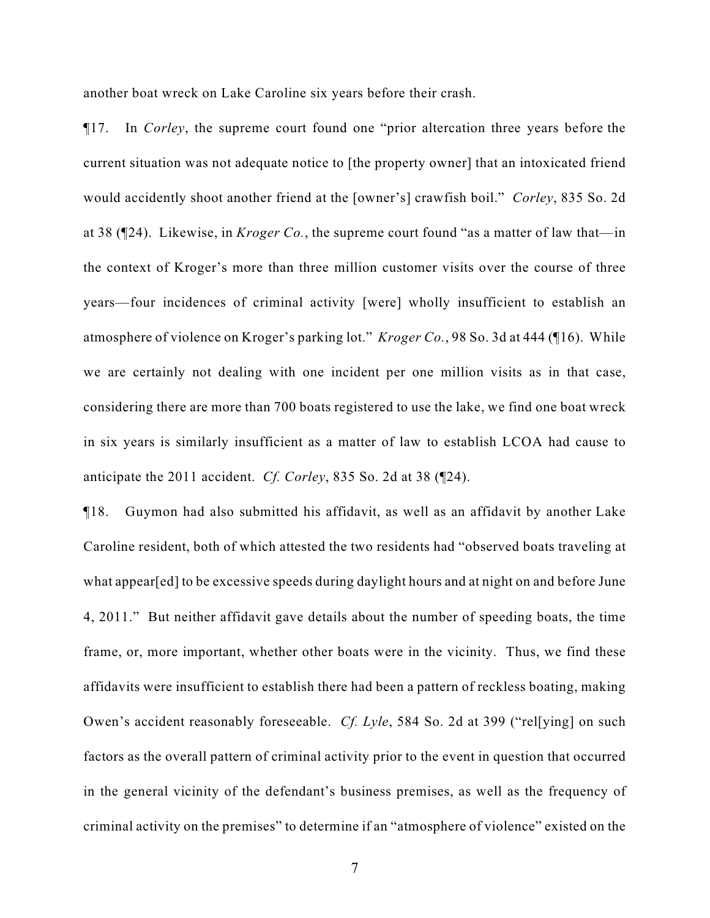another boat wreck on Lake Caroline six years before their crash.

¶17. In *Corley*, the supreme court found one "prior altercation three years before the current situation was not adequate notice to [the property owner] that an intoxicated friend would accidently shoot another friend at the [owner's] crawfish boil." *Corley*, 835 So. 2d at 38 (¶24). Likewise, in *Kroger Co.*, the supreme court found "as a matter of law that—in the context of Kroger's more than three million customer visits over the course of three years—four incidences of criminal activity [were] wholly insufficient to establish an atmosphere of violence on Kroger's parking lot." *Kroger Co.*, 98 So. 3d at 444 (¶16). While we are certainly not dealing with one incident per one million visits as in that case, considering there are more than 700 boats registered to use the lake, we find one boat wreck in six years is similarly insufficient as a matter of law to establish LCOA had cause to anticipate the 2011 accident. *Cf. Corley*, 835 So. 2d at 38 (¶24).

¶18. Guymon had also submitted his affidavit, as well as an affidavit by another Lake Caroline resident, both of which attested the two residents had "observed boats traveling at what appear[ed] to be excessive speeds during daylight hours and at night on and before June 4, 2011." But neither affidavit gave details about the number of speeding boats, the time frame, or, more important, whether other boats were in the vicinity. Thus, we find these affidavits were insufficient to establish there had been a pattern of reckless boating, making Owen's accident reasonably foreseeable. *Cf. Lyle*, 584 So. 2d at 399 ("rel[ying] on such factors as the overall pattern of criminal activity prior to the event in question that occurred in the general vicinity of the defendant's business premises, as well as the frequency of criminal activity on the premises" to determine if an "atmosphere of violence" existed on the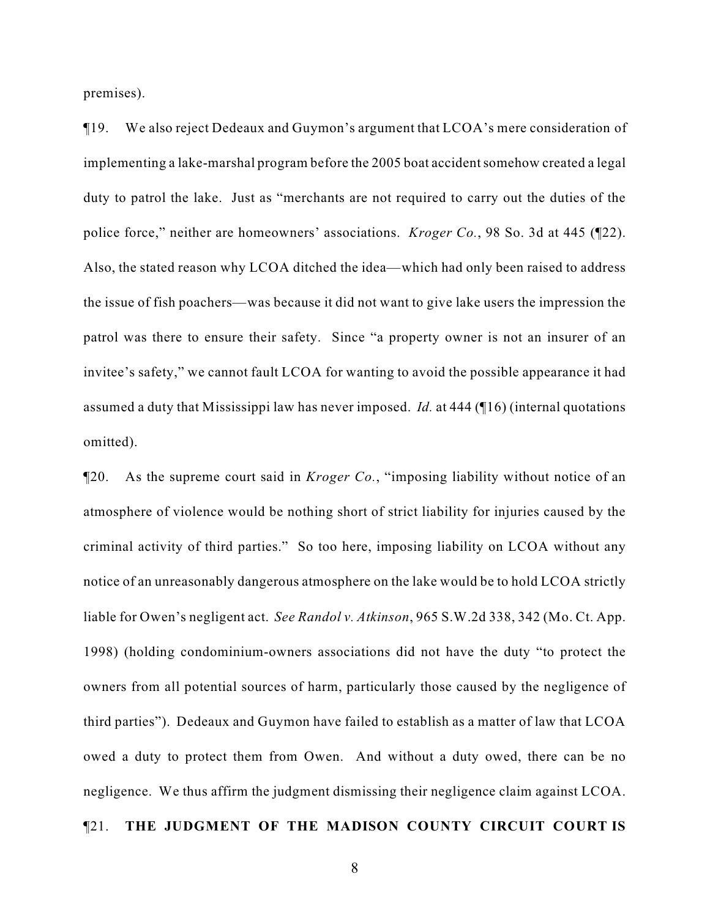premises).

¶19. We also reject Dedeaux and Guymon's argument that LCOA's mere consideration of implementing a lake-marshal program before the 2005 boat accident somehow created a legal duty to patrol the lake. Just as "merchants are not required to carry out the duties of the police force," neither are homeowners' associations. *Kroger Co.*, 98 So. 3d at 445 (¶22). Also, the stated reason why LCOA ditched the idea—which had only been raised to address the issue of fish poachers—was because it did not want to give lake users the impression the patrol was there to ensure their safety. Since "a property owner is not an insurer of an invitee's safety," we cannot fault LCOA for wanting to avoid the possible appearance it had assumed a duty that Mississippi law has never imposed. *Id.* at 444 (¶16) (internal quotations omitted).

¶20. As the supreme court said in *Kroger Co.*, "imposing liability without notice of an atmosphere of violence would be nothing short of strict liability for injuries caused by the criminal activity of third parties." So too here, imposing liability on LCOA without any notice of an unreasonably dangerous atmosphere on the lake would be to hold LCOA strictly liable for Owen's negligent act. *See Randol v. Atkinson*, 965 S.W.2d 338, 342 (Mo. Ct. App. 1998) (holding condominium-owners associations did not have the duty "to protect the owners from all potential sources of harm, particularly those caused by the negligence of third parties"). Dedeaux and Guymon have failed to establish as a matter of law that LCOA owed a duty to protect them from Owen. And without a duty owed, there can be no negligence. We thus affirm the judgment dismissing their negligence claim against LCOA.

# ¶21. **THE JUDGMENT OF THE MADISON COUNTY CIRCUIT COURT IS**